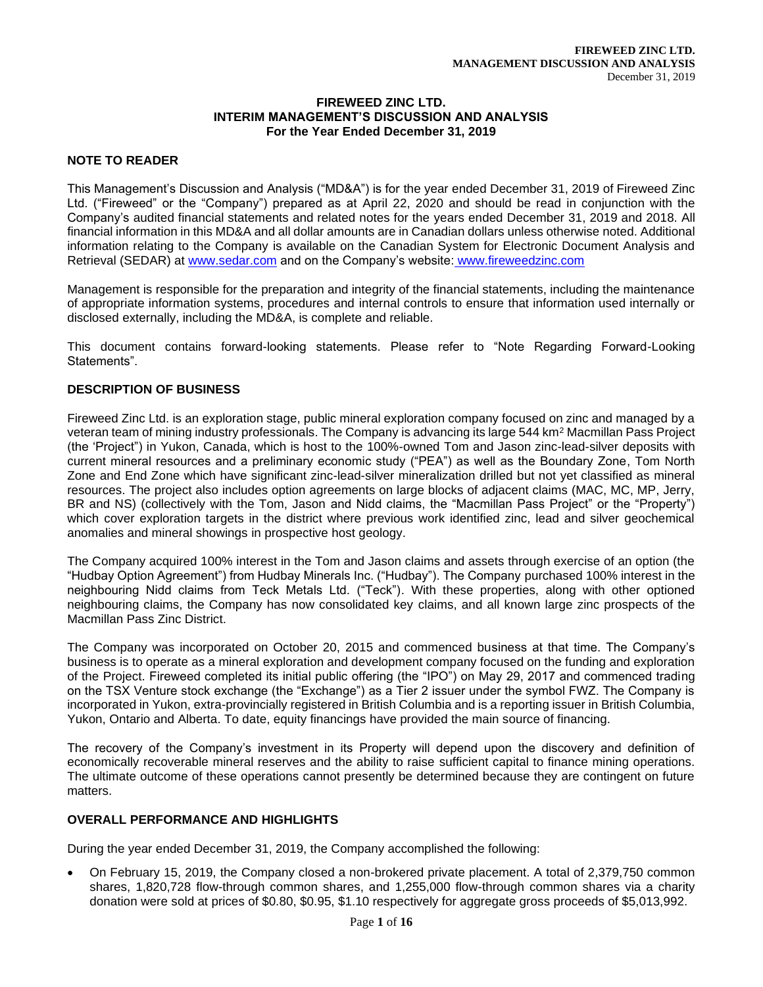#### **FIREWEED ZINC LTD. INTERIM MANAGEMENT'S DISCUSSION AND ANALYSIS For the Year Ended December 31, 2019**

# **NOTE TO READER**

This Management's Discussion and Analysis ("MD&A") is for the year ended December 31, 2019 of Fireweed Zinc Ltd. ("Fireweed" or the "Company") prepared as at April 22, 2020 and should be read in conjunction with the Company's audited financial statements and related notes for the years ended December 31, 2019 and 2018. All financial information in this MD&A and all dollar amounts are in Canadian dollars unless otherwise noted. Additional information relating to the Company is available on the Canadian System for Electronic Document Analysis and Retrieval (SEDAR) at [www.sedar.com](about:blank) and on the Company's website: www.fireweedzinc.com

Management is responsible for the preparation and integrity of the financial statements, including the maintenance of appropriate information systems, procedures and internal controls to ensure that information used internally or disclosed externally, including the MD&A, is complete and reliable.

This document contains forward-looking statements. Please refer to "Note Regarding Forward-Looking Statements".

# **DESCRIPTION OF BUSINESS**

Fireweed Zinc Ltd. is an exploration stage, public mineral exploration company focused on zinc and managed by a veteran team of mining industry professionals. The Company is advancing its large 544 km<sup>2</sup> Macmillan Pass Project (the 'Project") in Yukon, Canada, which is host to the 100%-owned Tom and Jason zinc-lead-silver deposits with current mineral resources and a preliminary economic study ("PEA") as well as the Boundary Zone, Tom North Zone and End Zone which have significant zinc-lead-silver mineralization drilled but not yet classified as mineral resources. The project also includes option agreements on large blocks of adjacent claims (MAC, MC, MP, Jerry, BR and NS) (collectively with the Tom, Jason and Nidd claims, the "Macmillan Pass Project" or the "Property") which cover exploration targets in the district where previous work identified zinc, lead and silver geochemical anomalies and mineral showings in prospective host geology.

The Company acquired 100% interest in the Tom and Jason claims and assets through exercise of an option (the "Hudbay Option Agreement") from Hudbay Minerals Inc. ("Hudbay"). The Company purchased 100% interest in the neighbouring Nidd claims from Teck Metals Ltd. ("Teck"). With these properties, along with other optioned neighbouring claims, the Company has now consolidated key claims, and all known large zinc prospects of the Macmillan Pass Zinc District.

The Company was incorporated on October 20, 2015 and commenced business at that time. The Company's business is to operate as a mineral exploration and development company focused on the funding and exploration of the Project. Fireweed completed its initial public offering (the "IPO") on May 29, 2017 and commenced trading on the TSX Venture stock exchange (the "Exchange") as a Tier 2 issuer under the symbol FWZ. The Company is incorporated in Yukon, extra-provincially registered in British Columbia and is a reporting issuer in British Columbia, Yukon, Ontario and Alberta. To date, equity financings have provided the main source of financing.

The recovery of the Company's investment in its Property will depend upon the discovery and definition of economically recoverable mineral reserves and the ability to raise sufficient capital to finance mining operations. The ultimate outcome of these operations cannot presently be determined because they are contingent on future matters.

# **OVERALL PERFORMANCE AND HIGHLIGHTS**

During the year ended December 31, 2019, the Company accomplished the following:

• On February 15, 2019, the Company closed a non-brokered private placement. A total of 2,379,750 common shares, 1,820,728 flow-through common shares, and 1,255,000 flow-through common shares via a charity donation were sold at prices of \$0.80, \$0.95, \$1.10 respectively for aggregate gross proceeds of \$5,013,992.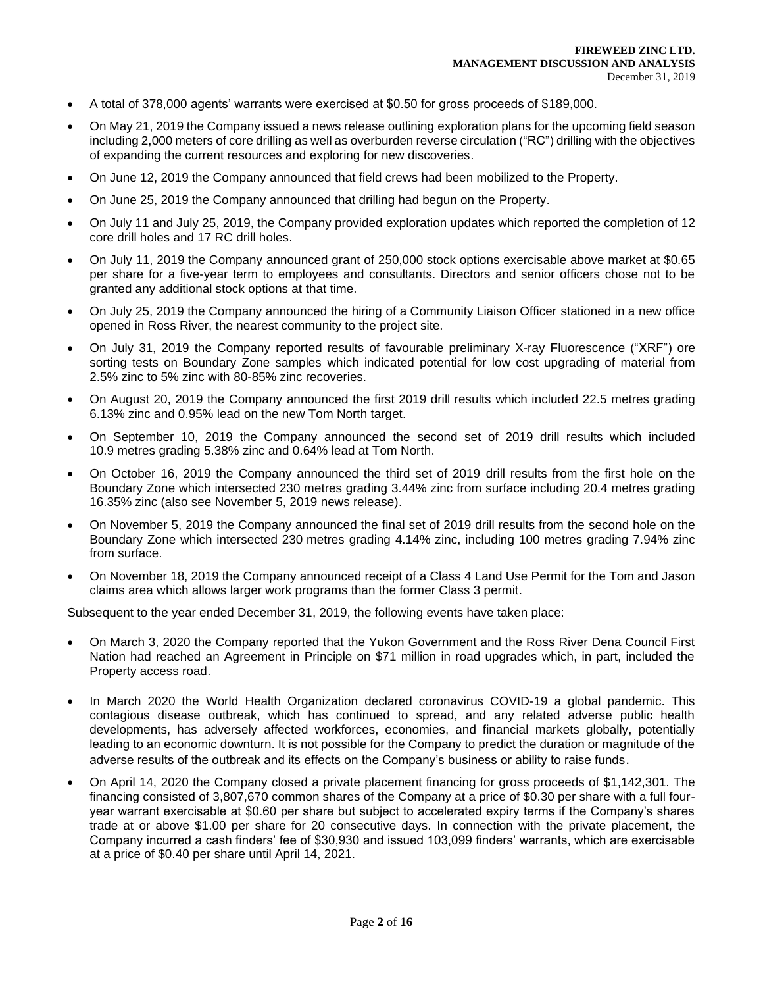- A total of 378,000 agents' warrants were exercised at \$0.50 for gross proceeds of \$189,000.
- On May 21, 2019 the Company issued a news release outlining exploration plans for the upcoming field season including 2,000 meters of core drilling as well as overburden reverse circulation ("RC") drilling with the objectives of expanding the current resources and exploring for new discoveries.
- On June 12, 2019 the Company announced that field crews had been mobilized to the Property.
- On June 25, 2019 the Company announced that drilling had begun on the Property.
- On July 11 and July 25, 2019, the Company provided exploration updates which reported the completion of 12 core drill holes and 17 RC drill holes.
- On July 11, 2019 the Company announced grant of 250,000 stock options exercisable above market at \$0.65 per share for a five-year term to employees and consultants. Directors and senior officers chose not to be granted any additional stock options at that time.
- On July 25, 2019 the Company announced the hiring of a Community Liaison Officer stationed in a new office opened in Ross River, the nearest community to the project site.
- On July 31, 2019 the Company reported results of favourable preliminary X-ray Fluorescence ("XRF") ore sorting tests on Boundary Zone samples which indicated potential for low cost upgrading of material from 2.5% zinc to 5% zinc with 80-85% zinc recoveries.
- On August 20, 2019 the Company announced the first 2019 drill results which included 22.5 metres grading 6.13% zinc and 0.95% lead on the new Tom North target.
- On September 10, 2019 the Company announced the second set of 2019 drill results which included 10.9 metres grading 5.38% zinc and 0.64% lead at Tom North.
- On October 16, 2019 the Company announced the third set of 2019 drill results from the first hole on the Boundary Zone which intersected 230 metres grading 3.44% zinc from surface including 20.4 metres grading 16.35% zinc (also see November 5, 2019 news release).
- On November 5, 2019 the Company announced the final set of 2019 drill results from the second hole on the Boundary Zone which intersected 230 metres grading 4.14% zinc, including 100 metres grading 7.94% zinc from surface.
- On November 18, 2019 the Company announced receipt of a Class 4 Land Use Permit for the Tom and Jason claims area which allows larger work programs than the former Class 3 permit.

Subsequent to the year ended December 31, 2019, the following events have taken place:

- On March 3, 2020 the Company reported that the Yukon Government and the Ross River Dena Council First Nation had reached an Agreement in Principle on \$71 million in road upgrades which, in part, included the Property access road.
- In March 2020 the World Health Organization declared coronavirus COVID-19 a global pandemic. This contagious disease outbreak, which has continued to spread, and any related adverse public health developments, has adversely affected workforces, economies, and financial markets globally, potentially leading to an economic downturn. It is not possible for the Company to predict the duration or magnitude of the adverse results of the outbreak and its effects on the Company's business or ability to raise funds.
- On April 14, 2020 the Company closed a private placement financing for gross proceeds of \$1,142,301. The financing consisted of 3,807,670 common shares of the Company at a price of \$0.30 per share with a full fouryear warrant exercisable at \$0.60 per share but subject to accelerated expiry terms if the Company's shares trade at or above \$1.00 per share for 20 consecutive days. In connection with the private placement, the Company incurred a cash finders' fee of \$30,930 and issued 103,099 finders' warrants, which are exercisable at a price of \$0.40 per share until April 14, 2021.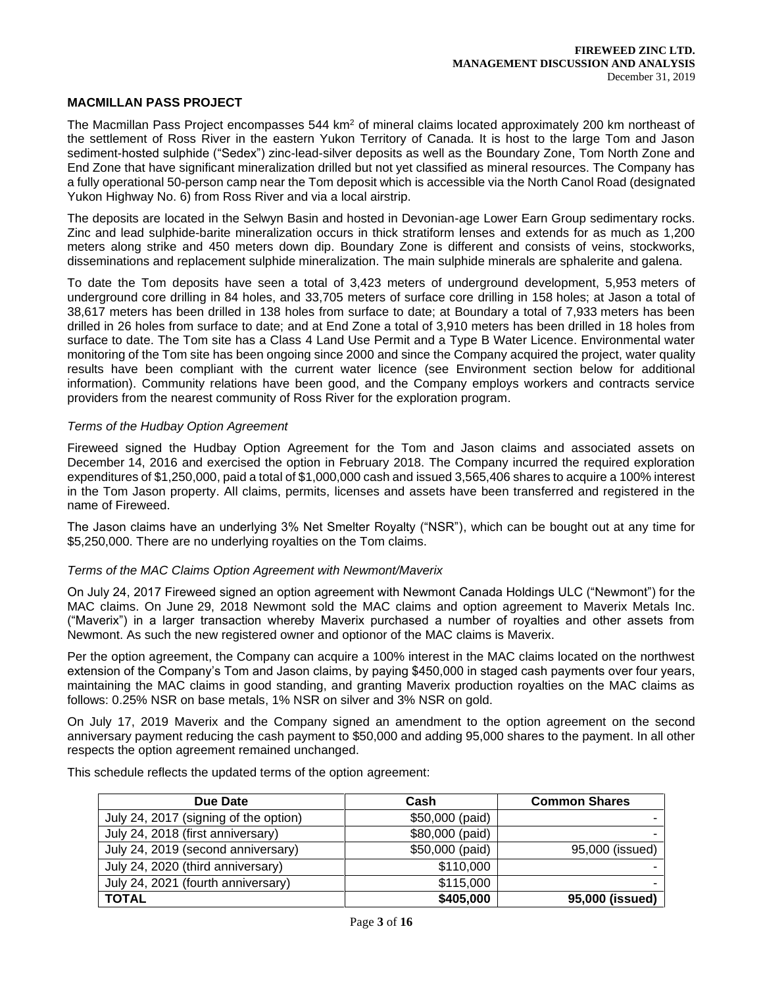# **MACMILLAN PASS PROJECT**

The Macmillan Pass Project encompasses 544 km<sup>2</sup> of mineral claims located approximately 200 km northeast of the settlement of Ross River in the eastern Yukon Territory of Canada. It is host to the large Tom and Jason sediment-hosted sulphide ("Sedex") zinc-lead-silver deposits as well as the Boundary Zone, Tom North Zone and End Zone that have significant mineralization drilled but not yet classified as mineral resources. The Company has a fully operational 50-person camp near the Tom deposit which is accessible via the North Canol Road (designated Yukon Highway No. 6) from Ross River and via a local airstrip.

The deposits are located in the Selwyn Basin and hosted in Devonian-age Lower Earn Group sedimentary rocks. Zinc and lead sulphide-barite mineralization occurs in thick stratiform lenses and extends for as much as 1,200 meters along strike and 450 meters down dip. Boundary Zone is different and consists of veins, stockworks, disseminations and replacement sulphide mineralization. The main sulphide minerals are sphalerite and galena.

To date the Tom deposits have seen a total of 3,423 meters of underground development, 5,953 meters of underground core drilling in 84 holes, and 33,705 meters of surface core drilling in 158 holes; at Jason a total of 38,617 meters has been drilled in 138 holes from surface to date; at Boundary a total of 7,933 meters has been drilled in 26 holes from surface to date; and at End Zone a total of 3,910 meters has been drilled in 18 holes from surface to date. The Tom site has a Class 4 Land Use Permit and a Type B Water Licence. Environmental water monitoring of the Tom site has been ongoing since 2000 and since the Company acquired the project, water quality results have been compliant with the current water licence (see Environment section below for additional information). Community relations have been good, and the Company employs workers and contracts service providers from the nearest community of Ross River for the exploration program.

#### *Terms of the Hudbay Option Agreement*

Fireweed signed the Hudbay Option Agreement for the Tom and Jason claims and associated assets on December 14, 2016 and exercised the option in February 2018. The Company incurred the required exploration expenditures of \$1,250,000, paid a total of \$1,000,000 cash and issued 3,565,406 shares to acquire a 100% interest in the Tom Jason property. All claims, permits, licenses and assets have been transferred and registered in the name of Fireweed.

The Jason claims have an underlying 3% Net Smelter Royalty ("NSR"), which can be bought out at any time for \$5,250,000. There are no underlying royalties on the Tom claims.

#### *Terms of the MAC Claims Option Agreement with Newmont/Maverix*

On July 24, 2017 Fireweed signed an option agreement with Newmont Canada Holdings ULC ("Newmont") for the MAC claims. On June 29, 2018 Newmont sold the MAC claims and option agreement to Maverix Metals Inc. ("Maverix") in a larger transaction whereby Maverix purchased a number of royalties and other assets from Newmont. As such the new registered owner and optionor of the MAC claims is Maverix.

Per the option agreement, the Company can acquire a 100% interest in the MAC claims located on the northwest extension of the Company's Tom and Jason claims, by paying \$450,000 in staged cash payments over four years, maintaining the MAC claims in good standing, and granting Maverix production royalties on the MAC claims as follows: 0.25% NSR on base metals, 1% NSR on silver and 3% NSR on gold.

On July 17, 2019 Maverix and the Company signed an amendment to the option agreement on the second anniversary payment reducing the cash payment to \$50,000 and adding 95,000 shares to the payment. In all other respects the option agreement remained unchanged.

| Due Date                              | Cash            | <b>Common Shares</b> |
|---------------------------------------|-----------------|----------------------|
| July 24, 2017 (signing of the option) | \$50,000 (paid) |                      |
| July 24, 2018 (first anniversary)     | \$80,000 (paid) |                      |
| July 24, 2019 (second anniversary)    | \$50,000 (paid) | 95,000 (issued)      |
| July 24, 2020 (third anniversary)     | \$110,000       |                      |
| July 24, 2021 (fourth anniversary)    | \$115,000       |                      |
| <b>TOTAL</b>                          | \$405,000       | 95,000 (issued)      |

This schedule reflects the updated terms of the option agreement: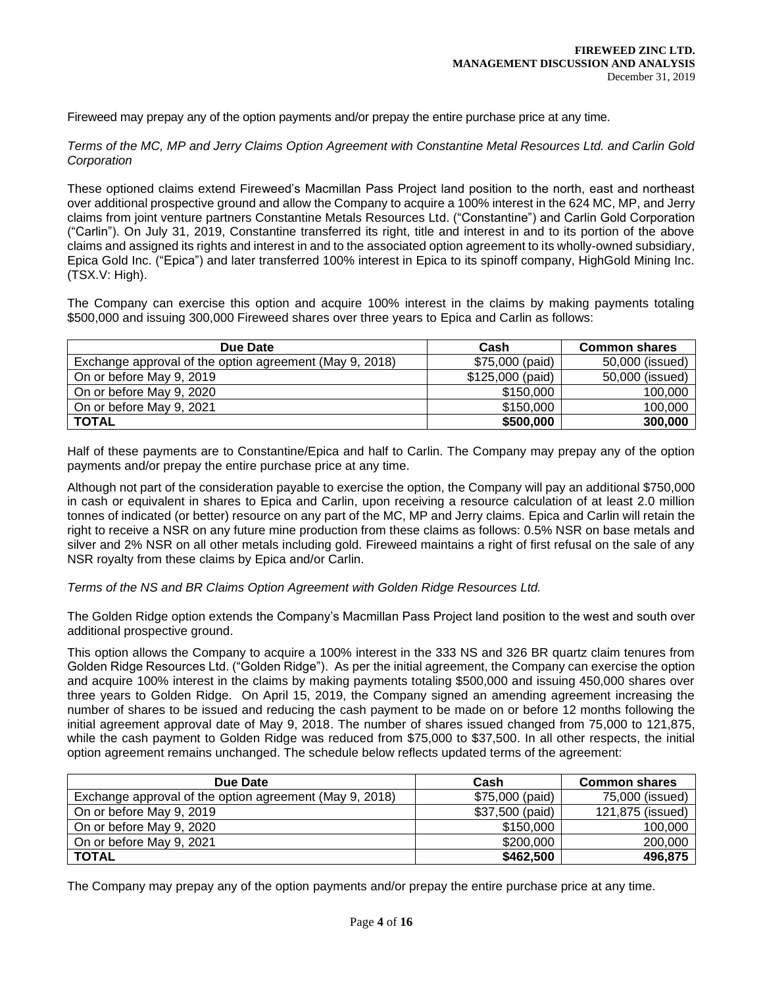Fireweed may prepay any of the option payments and/or prepay the entire purchase price at any time.

*Terms of the MC, MP and Jerry Claims Option Agreement with Constantine Metal Resources Ltd. and Carlin Gold Corporation*

These optioned claims extend Fireweed's Macmillan Pass Project land position to the north, east and northeast over additional prospective ground and allow the Company to acquire a 100% interest in the 624 MC, MP, and Jerry claims from joint venture partners Constantine Metals Resources Ltd. ("Constantine") and Carlin Gold Corporation ("Carlin"). On July 31, 2019, Constantine transferred its right, title and interest in and to its portion of the above claims and assigned its rights and interest in and to the associated option agreement to its wholly-owned subsidiary, Epica Gold Inc. ("Epica") and later transferred 100% interest in Epica to its spinoff company, HighGold Mining Inc. (TSX.V: High).

The Company can exercise this option and acquire 100% interest in the claims by making payments totaling \$500,000 and issuing 300,000 Fireweed shares over three years to Epica and Carlin as follows:

| Due Date                                                | Cash              | <b>Common shares</b> |
|---------------------------------------------------------|-------------------|----------------------|
| Exchange approval of the option agreement (May 9, 2018) | \$75,000 (paid)   | 50,000 (issued)      |
| On or before May 9, 2019                                | $$125,000$ (paid) | 50,000 (issued)      |
| On or before May 9, 2020                                | \$150,000         | 100,000              |
| On or before May 9, 2021                                | \$150,000         | 100,000              |
| <b>TOTAL</b>                                            | \$500,000         | 300,000              |

Half of these payments are to Constantine/Epica and half to Carlin. The Company may prepay any of the option payments and/or prepay the entire purchase price at any time.

Although not part of the consideration payable to exercise the option, the Company will pay an additional \$750,000 in cash or equivalent in shares to Epica and Carlin, upon receiving a resource calculation of at least 2.0 million tonnes of indicated (or better) resource on any part of the MC, MP and Jerry claims. Epica and Carlin will retain the right to receive a NSR on any future mine production from these claims as follows: 0.5% NSR on base metals and silver and 2% NSR on all other metals including gold. Fireweed maintains a right of first refusal on the sale of any NSR royalty from these claims by Epica and/or Carlin.

*Terms of the NS and BR Claims Option Agreement with Golden Ridge Resources Ltd.*

The Golden Ridge option extends the Company's Macmillan Pass Project land position to the west and south over additional prospective ground.

This option allows the Company to acquire a 100% interest in the 333 NS and 326 BR quartz claim tenures from Golden Ridge Resources Ltd. ("Golden Ridge"). As per the initial agreement, the Company can exercise the option and acquire 100% interest in the claims by making payments totaling \$500,000 and issuing 450,000 shares over three years to Golden Ridge. On April 15, 2019, the Company signed an amending agreement increasing the number of shares to be issued and reducing the cash payment to be made on or before 12 months following the initial agreement approval date of May 9, 2018. The number of shares issued changed from 75,000 to 121,875, while the cash payment to Golden Ridge was reduced from \$75,000 to \$37,500. In all other respects, the initial option agreement remains unchanged. The schedule below reflects updated terms of the agreement:

| Due Date                                                | Cash            | <b>Common shares</b> |
|---------------------------------------------------------|-----------------|----------------------|
| Exchange approval of the option agreement (May 9, 2018) | \$75,000 (paid) | 75,000 (issued)      |
| On or before May 9, 2019                                | \$37,500 (paid) | 121,875 (issued)     |
| On or before May 9, 2020                                | \$150,000       | 100,000              |
| On or before May 9, 2021                                | \$200,000       | 200,000              |
| <b>TOTAL</b>                                            | \$462,500       | 496,875              |

The Company may prepay any of the option payments and/or prepay the entire purchase price at any time.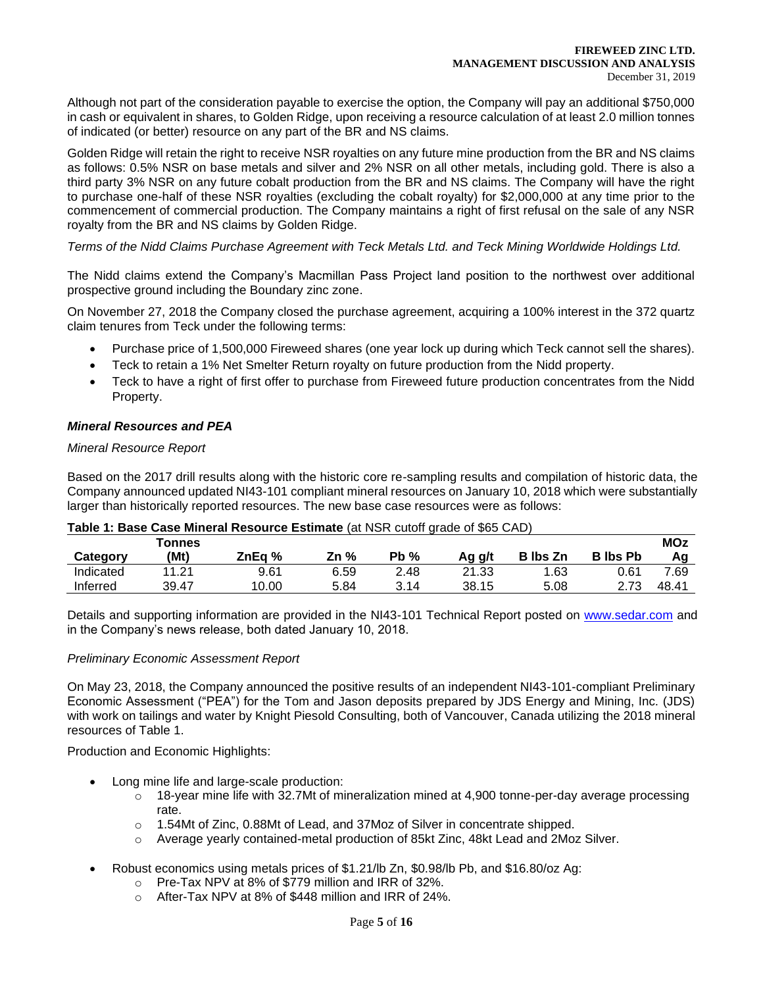Although not part of the consideration payable to exercise the option, the Company will pay an additional \$750,000 in cash or equivalent in shares, to Golden Ridge, upon receiving a resource calculation of at least 2.0 million tonnes of indicated (or better) resource on any part of the BR and NS claims.

Golden Ridge will retain the right to receive NSR royalties on any future mine production from the BR and NS claims as follows: 0.5% NSR on base metals and silver and 2% NSR on all other metals, including gold. There is also a third party 3% NSR on any future cobalt production from the BR and NS claims. The Company will have the right to purchase one-half of these NSR royalties (excluding the cobalt royalty) for \$2,000,000 at any time prior to the commencement of commercial production. The Company maintains a right of first refusal on the sale of any NSR royalty from the BR and NS claims by Golden Ridge.

# *Terms of the Nidd Claims Purchase Agreement with Teck Metals Ltd. and Teck Mining Worldwide Holdings Ltd.*

The Nidd claims extend the Company's Macmillan Pass Project land position to the northwest over additional prospective ground including the Boundary zinc zone.

On November 27, 2018 the Company closed the purchase agreement, acquiring a 100% interest in the 372 quartz claim tenures from Teck under the following terms:

- Purchase price of 1,500,000 Fireweed shares (one year lock up during which Teck cannot sell the shares).
- Teck to retain a 1% Net Smelter Return royalty on future production from the Nidd property.
- Teck to have a right of first offer to purchase from Fireweed future production concentrates from the Nidd Property.

# *Mineral Resources and PEA*

# *Mineral Resource Report*

Based on the 2017 drill results along with the historic core re-sampling results and compilation of historic data, the Company announced updated NI43-101 compliant mineral resources on January 10, 2018 which were substantially larger than historically reported resources. The new base case resources were as follows:

| Table T. Base Case Milleral Resource Estimate (at NSR Cuton grade of \$65 CAD). |        |        |        |        |        |                 |                 |            |  |
|---------------------------------------------------------------------------------|--------|--------|--------|--------|--------|-----------------|-----------------|------------|--|
|                                                                                 | Tonnes |        |        |        |        |                 |                 | <b>MOz</b> |  |
| Category                                                                        | (Mt)   | ZnEa % | Zn $%$ | $Pb\%$ | Aq q/t | <b>B</b> Ibs Zn | <b>B</b> Ibs Pb | Aα         |  |
| Indicated                                                                       | 11.21  | 9.61   | 6.59   | 2.48   | 21.33  | 1.63            | 0.61            | 7.69       |  |
| Inferred                                                                        | 39.47  | 10.00  | 5.84   | 3.14   | 38.15  | 5.08            | 2.73            | 48.41      |  |

# **Table 1: Base Case Mineral Resource Estimate** (at NSR cutoff grade of \$65 CAD)

Details and supporting information are provided in the NI43-101 Technical Report posted on [www.sedar.com](about:blank) and in the Company's news release, both dated January 10, 2018.

# *Preliminary Economic Assessment Report*

On May 23, 2018, the Company announced the positive results of an independent NI43-101-compliant Preliminary Economic Assessment ("PEA") for the Tom and Jason deposits prepared by JDS Energy and Mining, Inc. (JDS) with work on tailings and water by Knight Piesold Consulting, both of Vancouver, Canada utilizing the 2018 mineral resources of Table 1.

Production and Economic Highlights:

- Long mine life and large-scale production:
	- o 18-year mine life with 32.7Mt of mineralization mined at 4,900 tonne-per-day average processing rate.
	- o 1.54Mt of Zinc, 0.88Mt of Lead, and 37Moz of Silver in concentrate shipped.
	- o Average yearly contained-metal production of 85kt Zinc, 48kt Lead and 2Moz Silver.
- Robust economics using metals prices of \$1.21/lb Zn, \$0.98/lb Pb, and \$16.80/oz Ag:
	- o Pre-Tax NPV at 8% of \$779 million and IRR of 32%.
	- o After-Tax NPV at 8% of \$448 million and IRR of 24%.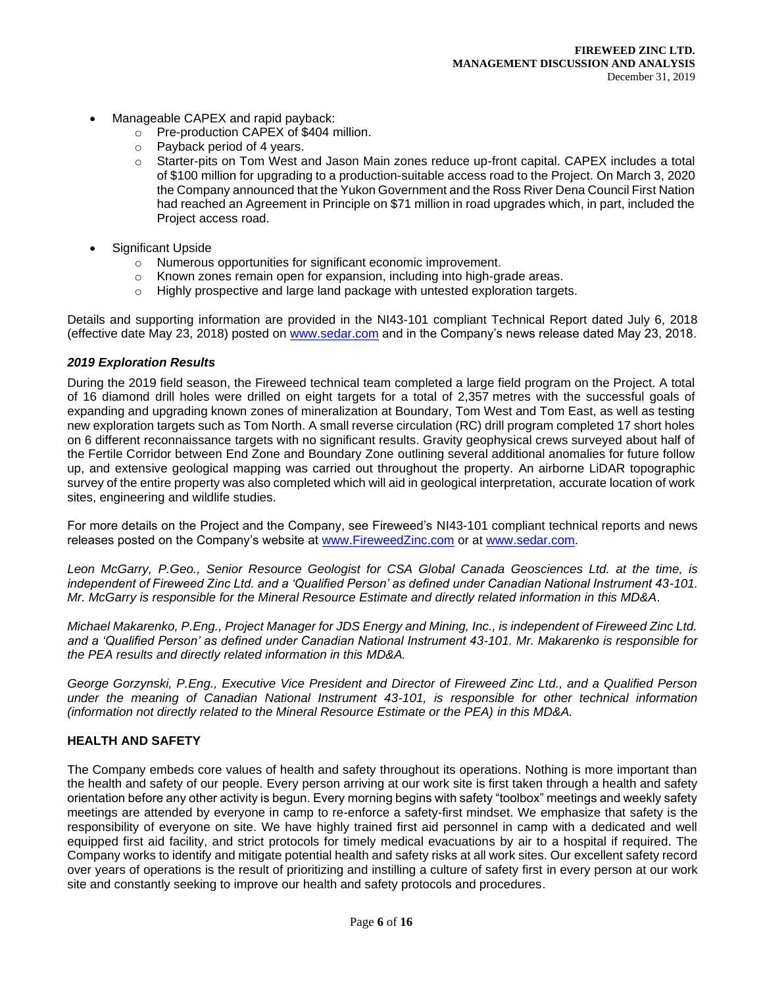- Manageable CAPEX and rapid payback:
	- o Pre-production CAPEX of \$404 million.
	- o Payback period of 4 years.
	- o Starter-pits on Tom West and Jason Main zones reduce up-front capital. CAPEX includes a total of \$100 million for upgrading to a production-suitable access road to the Project. On March 3, 2020 the Company announced that the Yukon Government and the Ross River Dena Council First Nation had reached an Agreement in Principle on \$71 million in road upgrades which, in part, included the Project access road.
- Significant Upside
	- o Numerous opportunities for significant economic improvement.
	- $\circ$  Known zones remain open for expansion, including into high-grade areas.
	- $\circ$  Highly prospective and large land package with untested exploration targets.

Details and supporting information are provided in the NI43-101 compliant Technical Report dated July 6, 2018 (effective date May 23, 2018) posted on [www.sedar.com](about:blank) and in the Company's news release dated May 23, 2018.

# *2019 Exploration Results*

During the 2019 field season, the Fireweed technical team completed a large field program on the Project. A total of 16 diamond drill holes were drilled on eight targets for a total of 2,357 metres with the successful goals of expanding and upgrading known zones of mineralization at Boundary, Tom West and Tom East, as well as testing new exploration targets such as Tom North. A small reverse circulation (RC) drill program completed 17 short holes on 6 different reconnaissance targets with no significant results. Gravity geophysical crews surveyed about half of the Fertile Corridor between End Zone and Boundary Zone outlining several additional anomalies for future follow up, and extensive geological mapping was carried out throughout the property. An airborne LiDAR topographic survey of the entire property was also completed which will aid in geological interpretation, accurate location of work sites, engineering and wildlife studies.

For more details on the Project and the Company, see Fireweed's NI43-101 compliant technical reports and news releases posted on the Company's website at [www.FireweedZinc.com](about:blank) or at [www.sedar.com.](about:blank)

*Leon McGarry, P.Geo., Senior Resource Geologist for CSA Global Canada Geosciences Ltd. at the time, is independent of Fireweed Zinc Ltd. and a 'Qualified Person' as defined under Canadian National Instrument 43-101. Mr. McGarry is responsible for the Mineral Resource Estimate and directly related information in this MD&A.* 

*Michael Makarenko, P.Eng., Project Manager for JDS Energy and Mining, Inc., is independent of Fireweed Zinc Ltd. and a 'Qualified Person' as defined under Canadian National Instrument 43-101. Mr. Makarenko is responsible for the PEA results and directly related information in this MD&A.*

*George Gorzynski, P.Eng., Executive Vice President and Director of Fireweed Zinc Ltd., and a Qualified Person under the meaning of Canadian National Instrument 43-101, is responsible for other technical information (information not directly related to the Mineral Resource Estimate or the PEA) in this MD&A.*

# **HEALTH AND SAFETY**

The Company embeds core values of health and safety throughout its operations. Nothing is more important than the health and safety of our people. Every person arriving at our work site is first taken through a health and safety orientation before any other activity is begun. Every morning begins with safety "toolbox" meetings and weekly safety meetings are attended by everyone in camp to re-enforce a safety-first mindset. We emphasize that safety is the responsibility of everyone on site. We have highly trained first aid personnel in camp with a dedicated and well equipped first aid facility, and strict protocols for timely medical evacuations by air to a hospital if required. The Company works to identify and mitigate potential health and safety risks at all work sites. Our excellent safety record over years of operations is the result of prioritizing and instilling a culture of safety first in every person at our work site and constantly seeking to improve our health and safety protocols and procedures.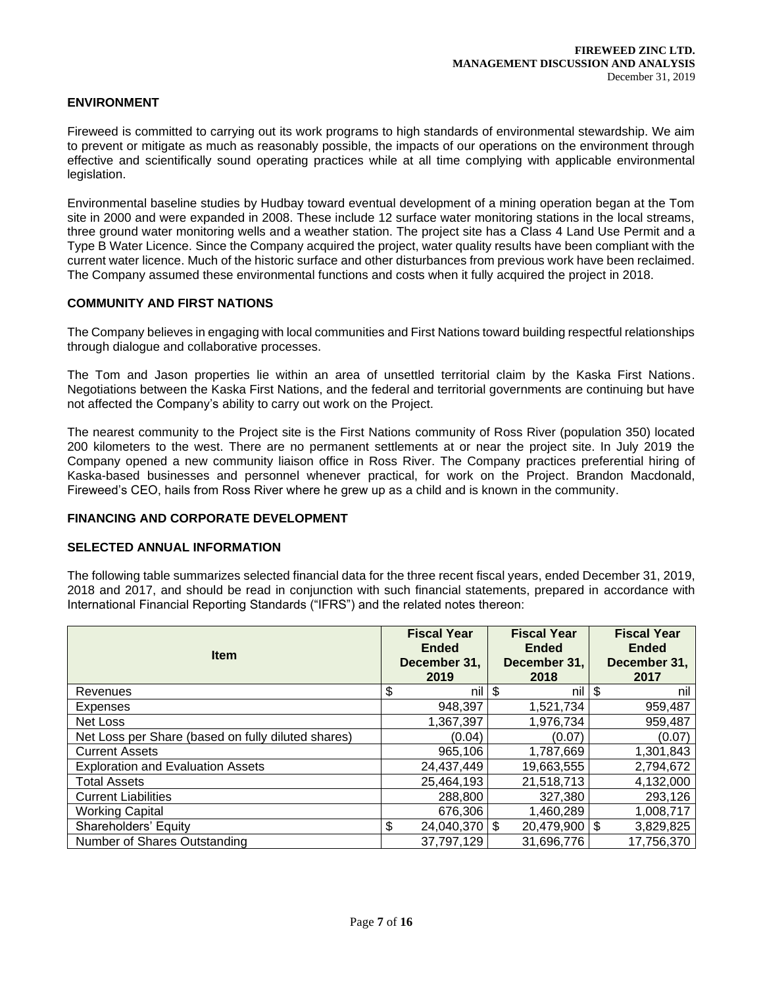# **ENVIRONMENT**

Fireweed is committed to carrying out its work programs to high standards of environmental stewardship. We aim to prevent or mitigate as much as reasonably possible, the impacts of our operations on the environment through effective and scientifically sound operating practices while at all time complying with applicable environmental legislation.

Environmental baseline studies by Hudbay toward eventual development of a mining operation began at the Tom site in 2000 and were expanded in 2008. These include 12 surface water monitoring stations in the local streams, three ground water monitoring wells and a weather station. The project site has a Class 4 Land Use Permit and a Type B Water Licence. Since the Company acquired the project, water quality results have been compliant with the current water licence. Much of the historic surface and other disturbances from previous work have been reclaimed. The Company assumed these environmental functions and costs when it fully acquired the project in 2018.

# **COMMUNITY AND FIRST NATIONS**

The Company believes in engaging with local communities and First Nations toward building respectful relationships through dialogue and collaborative processes.

The Tom and Jason properties lie within an area of unsettled territorial claim by the Kaska First Nations. Negotiations between the Kaska First Nations, and the federal and territorial governments are continuing but have not affected the Company's ability to carry out work on the Project.

The nearest community to the Project site is the First Nations community of Ross River (population 350) located 200 kilometers to the west. There are no permanent settlements at or near the project site. In July 2019 the Company opened a new community liaison office in Ross River. The Company practices preferential hiring of Kaska-based businesses and personnel whenever practical, for work on the Project. Brandon Macdonald, Fireweed's CEO, hails from Ross River where he grew up as a child and is known in the community.

# **FINANCING AND CORPORATE DEVELOPMENT**

# **SELECTED ANNUAL INFORMATION**

The following table summarizes selected financial data for the three recent fiscal years, ended December 31, 2019, 2018 and 2017, and should be read in conjunction with such financial statements, prepared in accordance with International Financial Reporting Standards ("IFRS") and the related notes thereon:

| <b>Item</b>                                        | <b>Fiscal Year</b><br><b>Ended</b><br>December 31,<br>2019 | <b>Fiscal Year</b><br><b>Ended</b><br>December 31,<br>2018 | <b>Fiscal Year</b><br><b>Ended</b><br>December 31,<br>2017 |
|----------------------------------------------------|------------------------------------------------------------|------------------------------------------------------------|------------------------------------------------------------|
| Revenues                                           | \$<br>nil                                                  | \$<br>nil                                                  | \$<br>nil                                                  |
| Expenses                                           | 948,397                                                    | 1,521,734                                                  | 959,487                                                    |
| Net Loss                                           | 1,367,397                                                  | 1,976,734                                                  | 959,487                                                    |
| Net Loss per Share (based on fully diluted shares) | (0.04)                                                     | (0.07)                                                     | (0.07)                                                     |
| <b>Current Assets</b>                              | 965,106                                                    | 1,787,669                                                  | 1,301,843                                                  |
| <b>Exploration and Evaluation Assets</b>           | 24,437,449                                                 | 19,663,555                                                 | 2,794,672                                                  |
| <b>Total Assets</b>                                | 25,464,193                                                 | 21,518,713                                                 | 4,132,000                                                  |
| <b>Current Liabilities</b>                         | 288,800                                                    | 327,380                                                    | 293,126                                                    |
| <b>Working Capital</b>                             | 676,306                                                    | 1,460,289                                                  | 1,008,717                                                  |
| Shareholders' Equity                               | \$<br>24,040,370                                           | \$<br>$20,479,900$ \$                                      | 3,829,825                                                  |
| Number of Shares Outstanding                       | 37,797,129                                                 | 31,696,776                                                 | 17,756,370                                                 |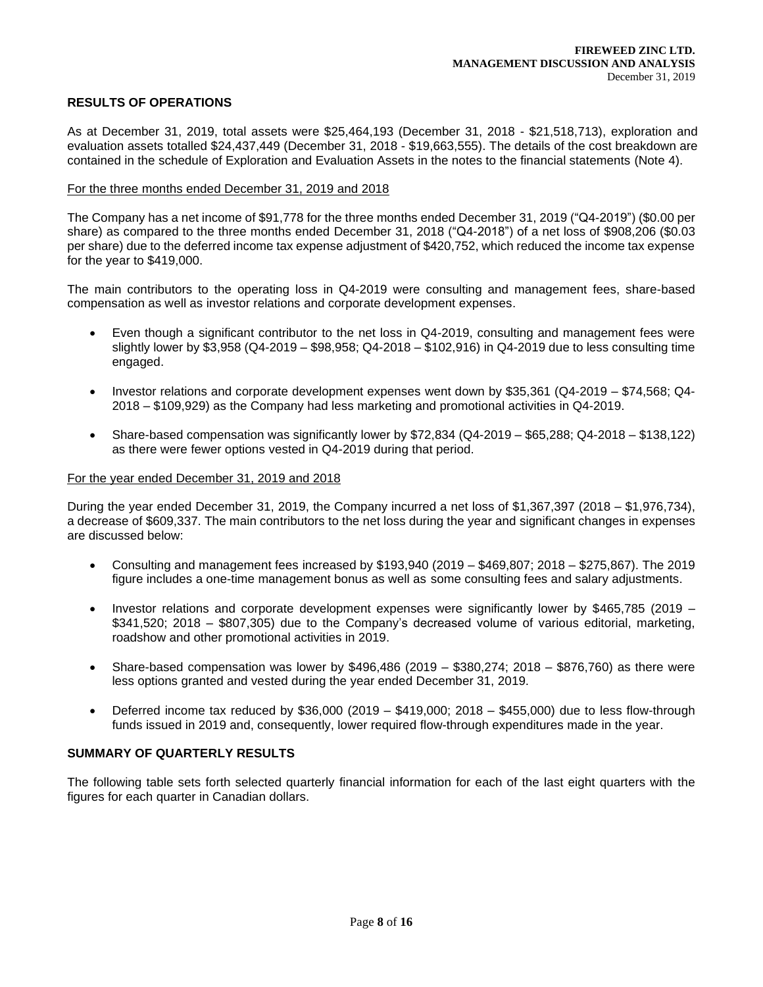# **RESULTS OF OPERATIONS**

As at December 31, 2019, total assets were \$25,464,193 (December 31, 2018 - \$21,518,713), exploration and evaluation assets totalled \$24,437,449 (December 31, 2018 - \$19,663,555). The details of the cost breakdown are contained in the schedule of Exploration and Evaluation Assets in the notes to the financial statements (Note 4).

#### For the three months ended December 31, 2019 and 2018

The Company has a net income of \$91,778 for the three months ended December 31, 2019 ("Q4-2019") (\$0.00 per share) as compared to the three months ended December 31, 2018 ("Q4-2018") of a net loss of \$908,206 (\$0.03 per share) due to the deferred income tax expense adjustment of \$420,752, which reduced the income tax expense for the year to \$419,000.

The main contributors to the operating loss in Q4-2019 were consulting and management fees, share-based compensation as well as investor relations and corporate development expenses.

- Even though a significant contributor to the net loss in Q4-2019, consulting and management fees were slightly lower by \$3,958 (Q4-2019 – \$98,958; Q4-2018 – \$102,916) in Q4-2019 due to less consulting time engaged.
- Investor relations and corporate development expenses went down by \$35,361 (Q4-2019 \$74,568; Q4- 2018 – \$109,929) as the Company had less marketing and promotional activities in Q4-2019.
- Share-based compensation was significantly lower by \$72,834 (Q4-2019 \$65,288; Q4-2018 \$138,122) as there were fewer options vested in Q4-2019 during that period.

#### For the year ended December 31, 2019 and 2018

During the year ended December 31, 2019, the Company incurred a net loss of \$1,367,397 (2018 – \$1,976,734), a decrease of \$609,337. The main contributors to the net loss during the year and significant changes in expenses are discussed below:

- Consulting and management fees increased by \$193,940 (2019 \$469,807; 2018 \$275,867). The 2019 figure includes a one-time management bonus as well as some consulting fees and salary adjustments.
- Investor relations and corporate development expenses were significantly lower by \$465,785 (2019 \$341,520; 2018 – \$807,305) due to the Company's decreased volume of various editorial, marketing, roadshow and other promotional activities in 2019.
- Share-based compensation was lower by \$496,486 (2019 \$380,274; 2018 \$876,760) as there were less options granted and vested during the year ended December 31, 2019.
- Deferred income tax reduced by \$36,000 (2019 \$419,000; 2018 \$455,000) due to less flow-through funds issued in 2019 and, consequently, lower required flow-through expenditures made in the year.

# **SUMMARY OF QUARTERLY RESULTS**

The following table sets forth selected quarterly financial information for each of the last eight quarters with the figures for each quarter in Canadian dollars.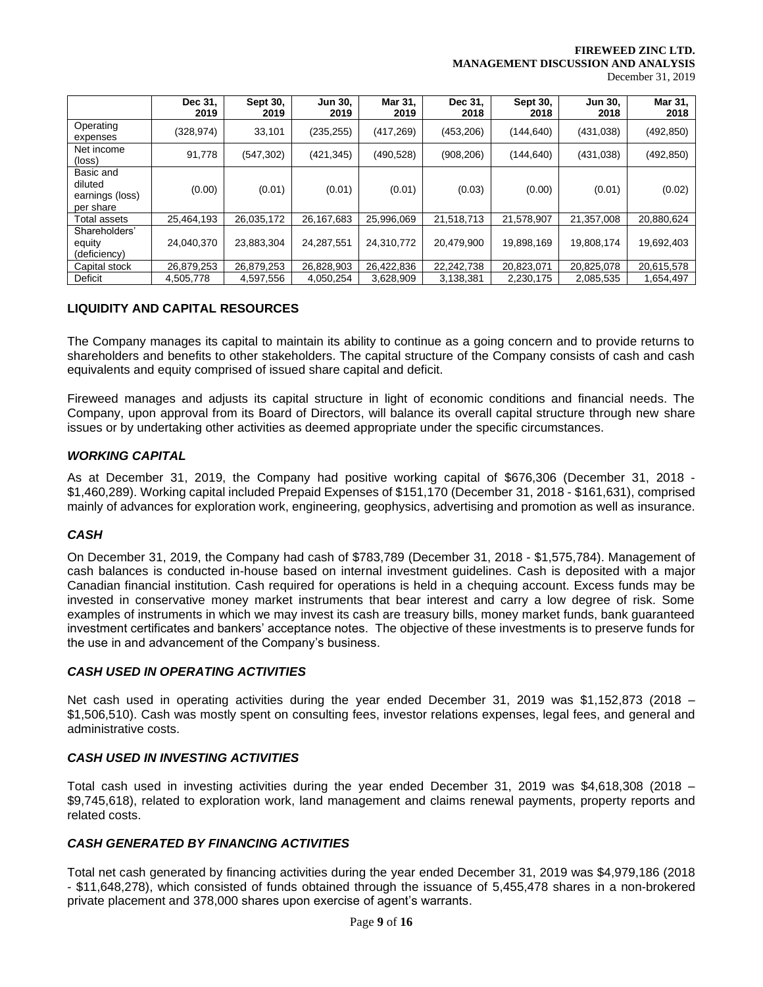**FIREWEED ZINC LTD. MANAGEMENT DISCUSSION AND ANALYSIS**

December 31, 2019

|                                                      | Dec 31,<br>2019 | <b>Sept 30,</b><br>2019 | <b>Jun 30,</b><br>2019 | Mar 31,<br>2019 | Dec 31,<br>2018 | <b>Sept 30,</b><br>2018 | <b>Jun 30,</b><br>2018 | Mar 31,<br>2018 |
|------------------------------------------------------|-----------------|-------------------------|------------------------|-----------------|-----------------|-------------------------|------------------------|-----------------|
| Operating<br>expenses                                | (328, 974)      | 33,101                  | (235, 255)             | (417, 269)      | (453, 206)      | (144, 640)              | (431, 038)             | (492, 850)      |
| Net income<br>$(\text{loss})$                        | 91,778          | (547, 302)              | (421, 345)             | (490, 528)      | (908, 206)      | (144, 640)              | (431, 038)             | (492, 850)      |
| Basic and<br>diluted<br>earnings (loss)<br>per share | (0.00)          | (0.01)                  | (0.01)                 | (0.01)          | (0.03)          | (0.00)                  | (0.01)                 | (0.02)          |
| Total assets                                         | 25.464.193      | 26,035,172              | 26,167,683             | 25,996,069      | 21,518,713      | 21,578,907              | 21,357,008             | 20,880,624      |
| Shareholders'<br>equity<br>(deficiency)              | 24,040,370      | 23,883,304              | 24,287,551             | 24,310,772      | 20,479,900      | 19,898,169              | 19,808,174             | 19,692,403      |
| Capital stock                                        | 26,879,253      | 26,879,253              | 26,828,903             | 26,422,836      | 22,242,738      | 20,823,071              | 20,825,078             | 20,615,578      |
| Deficit                                              | 4,505,778       | 4,597,556               | 4,050,254              | 3,628,909       | 3,138,381       | 2,230,175               | 2,085,535              | 1,654,497       |

# **LIQUIDITY AND CAPITAL RESOURCES**

The Company manages its capital to maintain its ability to continue as a going concern and to provide returns to shareholders and benefits to other stakeholders. The capital structure of the Company consists of cash and cash equivalents and equity comprised of issued share capital and deficit.

Fireweed manages and adjusts its capital structure in light of economic conditions and financial needs. The Company, upon approval from its Board of Directors, will balance its overall capital structure through new share issues or by undertaking other activities as deemed appropriate under the specific circumstances.

# *WORKING CAPITAL*

As at December 31, 2019, the Company had positive working capital of \$676,306 (December 31, 2018 - \$1,460,289). Working capital included Prepaid Expenses of \$151,170 (December 31, 2018 - \$161,631), comprised mainly of advances for exploration work, engineering, geophysics, advertising and promotion as well as insurance.

# *CASH*

On December 31, 2019, the Company had cash of \$783,789 (December 31, 2018 - \$1,575,784). Management of cash balances is conducted in-house based on internal investment guidelines. Cash is deposited with a major Canadian financial institution. Cash required for operations is held in a chequing account. Excess funds may be invested in conservative money market instruments that bear interest and carry a low degree of risk. Some examples of instruments in which we may invest its cash are treasury bills, money market funds, bank guaranteed investment certificates and bankers' acceptance notes. The objective of these investments is to preserve funds for the use in and advancement of the Company's business.

# *CASH USED IN OPERATING ACTIVITIES*

Net cash used in operating activities during the year ended December 31, 2019 was \$1,152,873 (2018 – \$1,506,510). Cash was mostly spent on consulting fees, investor relations expenses, legal fees, and general and administrative costs.

# *CASH USED IN INVESTING ACTIVITIES*

Total cash used in investing activities during the year ended December 31, 2019 was \$4,618,308 (2018 – \$9,745,618), related to exploration work, land management and claims renewal payments, property reports and related costs.

# *CASH GENERATED BY FINANCING ACTIVITIES*

Total net cash generated by financing activities during the year ended December 31, 2019 was \$4,979,186 (2018 - \$11,648,278), which consisted of funds obtained through the issuance of 5,455,478 shares in a non-brokered private placement and 378,000 shares upon exercise of agent's warrants.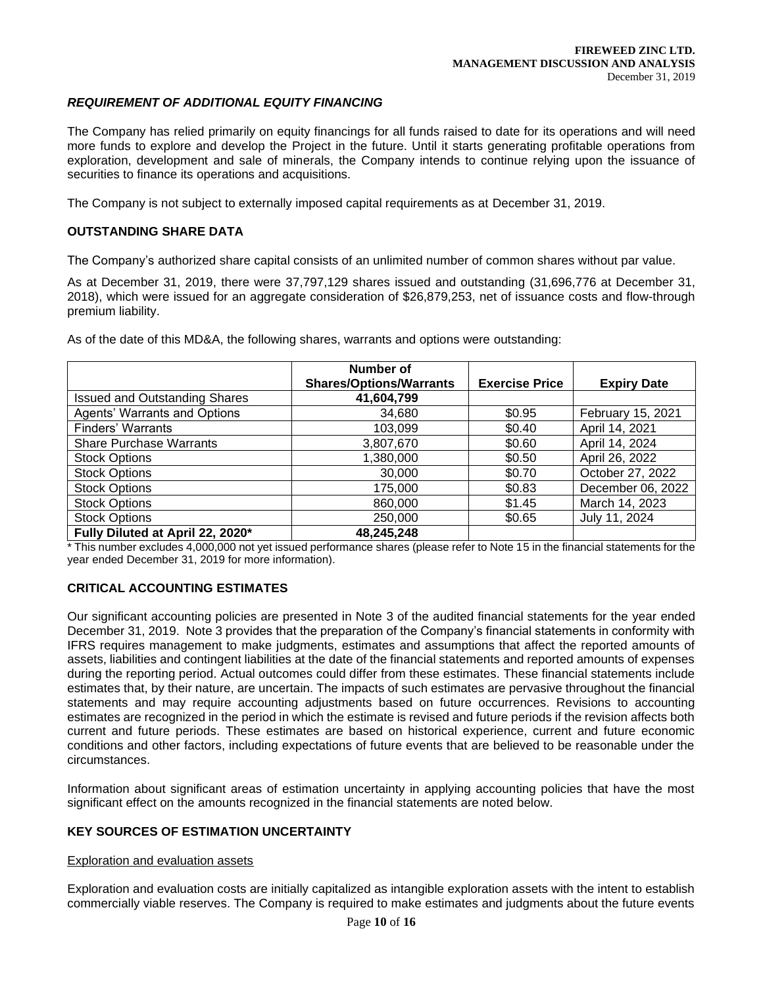# *REQUIREMENT OF ADDITIONAL EQUITY FINANCING*

The Company has relied primarily on equity financings for all funds raised to date for its operations and will need more funds to explore and develop the Project in the future. Until it starts generating profitable operations from exploration, development and sale of minerals, the Company intends to continue relying upon the issuance of securities to finance its operations and acquisitions.

The Company is not subject to externally imposed capital requirements as at December 31, 2019.

### **OUTSTANDING SHARE DATA**

The Company's authorized share capital consists of an unlimited number of common shares without par value.

As at December 31, 2019, there were 37,797,129 shares issued and outstanding (31,696,776 at December 31, 2018), which were issued for an aggregate consideration of \$26,879,253, net of issuance costs and flow-through premium liability.

|  | As of the date of this MD&A, the following shares, warrants and options were outstanding: |  |
|--|-------------------------------------------------------------------------------------------|--|
|  |                                                                                           |  |

|                                      | Number of<br><b>Shares/Options/Warrants</b> | <b>Exercise Price</b> | <b>Expiry Date</b> |
|--------------------------------------|---------------------------------------------|-----------------------|--------------------|
| <b>Issued and Outstanding Shares</b> | 41,604,799                                  |                       |                    |
| <b>Agents' Warrants and Options</b>  | 34,680                                      | \$0.95                | February 15, 2021  |
| Finders' Warrants                    | 103,099                                     | \$0.40                | April 14, 2021     |
| <b>Share Purchase Warrants</b>       | 3,807,670                                   | \$0.60                | April 14, 2024     |
| <b>Stock Options</b>                 | 1,380,000                                   | \$0.50                | April 26, 2022     |
| <b>Stock Options</b>                 | 30,000                                      | \$0.70                | October 27, 2022   |
| <b>Stock Options</b>                 | 175,000                                     | \$0.83                | December 06, 2022  |
| <b>Stock Options</b>                 | 860,000                                     | \$1.45                | March 14, 2023     |
| <b>Stock Options</b>                 | 250,000                                     | \$0.65                | July 11, 2024      |
| Fully Diluted at April 22, 2020*     | 48,245,248                                  |                       |                    |

\* This number excludes 4,000,000 not yet issued performance shares (please refer to Note 15 in the financial statements for the year ended December 31, 2019 for more information).

# **CRITICAL ACCOUNTING ESTIMATES**

Our significant accounting policies are presented in Note 3 of the audited financial statements for the year ended December 31, 2019. Note 3 provides that the preparation of the Company's financial statements in conformity with IFRS requires management to make judgments, estimates and assumptions that affect the reported amounts of assets, liabilities and contingent liabilities at the date of the financial statements and reported amounts of expenses during the reporting period. Actual outcomes could differ from these estimates. These financial statements include estimates that, by their nature, are uncertain. The impacts of such estimates are pervasive throughout the financial statements and may require accounting adjustments based on future occurrences. Revisions to accounting estimates are recognized in the period in which the estimate is revised and future periods if the revision affects both current and future periods. These estimates are based on historical experience, current and future economic conditions and other factors, including expectations of future events that are believed to be reasonable under the circumstances.

Information about significant areas of estimation uncertainty in applying accounting policies that have the most significant effect on the amounts recognized in the financial statements are noted below.

# **KEY SOURCES OF ESTIMATION UNCERTAINTY**

#### Exploration and evaluation assets

Exploration and evaluation costs are initially capitalized as intangible exploration assets with the intent to establish commercially viable reserves. The Company is required to make estimates and judgments about the future events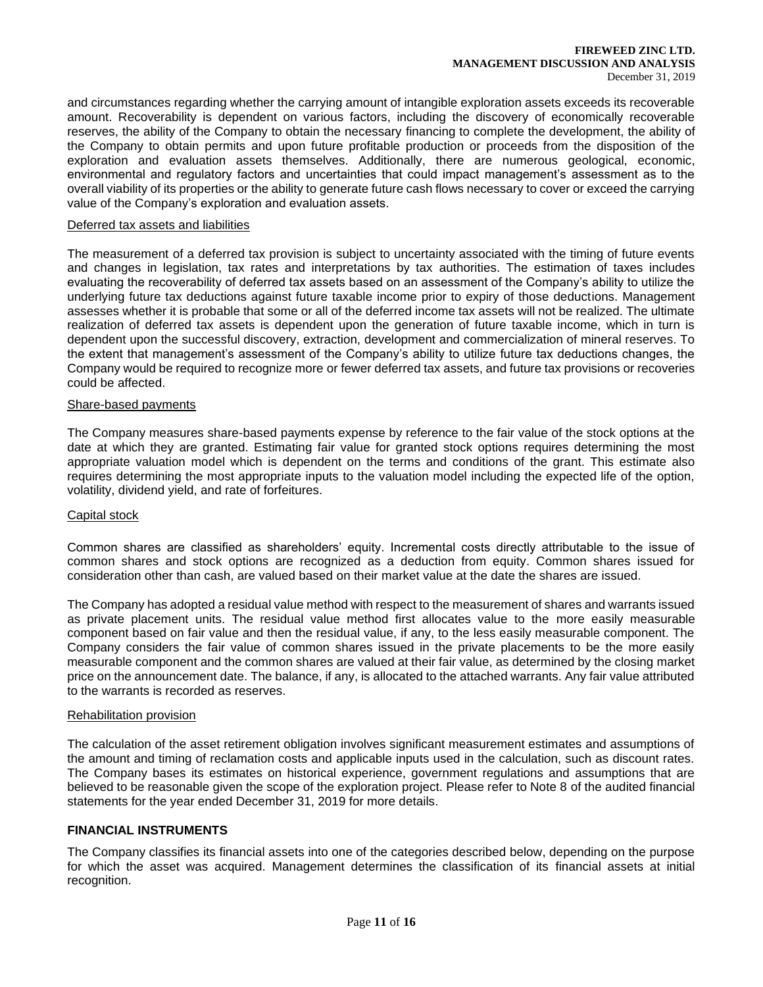#### **FIREWEED ZINC LTD. MANAGEMENT DISCUSSION AND ANALYSIS** December 31, 2019

and circumstances regarding whether the carrying amount of intangible exploration assets exceeds its recoverable amount. Recoverability is dependent on various factors, including the discovery of economically recoverable reserves, the ability of the Company to obtain the necessary financing to complete the development, the ability of the Company to obtain permits and upon future profitable production or proceeds from the disposition of the exploration and evaluation assets themselves. Additionally, there are numerous geological, economic, environmental and regulatory factors and uncertainties that could impact management's assessment as to the overall viability of its properties or the ability to generate future cash flows necessary to cover or exceed the carrying value of the Company's exploration and evaluation assets.

### Deferred tax assets and liabilities

The measurement of a deferred tax provision is subject to uncertainty associated with the timing of future events and changes in legislation, tax rates and interpretations by tax authorities. The estimation of taxes includes evaluating the recoverability of deferred tax assets based on an assessment of the Company's ability to utilize the underlying future tax deductions against future taxable income prior to expiry of those deductions. Management assesses whether it is probable that some or all of the deferred income tax assets will not be realized. The ultimate realization of deferred tax assets is dependent upon the generation of future taxable income, which in turn is dependent upon the successful discovery, extraction, development and commercialization of mineral reserves. To the extent that management's assessment of the Company's ability to utilize future tax deductions changes, the Company would be required to recognize more or fewer deferred tax assets, and future tax provisions or recoveries could be affected.

### Share-based payments

The Company measures share-based payments expense by reference to the fair value of the stock options at the date at which they are granted. Estimating fair value for granted stock options requires determining the most appropriate valuation model which is dependent on the terms and conditions of the grant. This estimate also requires determining the most appropriate inputs to the valuation model including the expected life of the option, volatility, dividend yield, and rate of forfeitures.

# Capital stock

Common shares are classified as shareholders' equity. Incremental costs directly attributable to the issue of common shares and stock options are recognized as a deduction from equity. Common shares issued for consideration other than cash, are valued based on their market value at the date the shares are issued.

The Company has adopted a residual value method with respect to the measurement of shares and warrants issued as private placement units. The residual value method first allocates value to the more easily measurable component based on fair value and then the residual value, if any, to the less easily measurable component. The Company considers the fair value of common shares issued in the private placements to be the more easily measurable component and the common shares are valued at their fair value, as determined by the closing market price on the announcement date. The balance, if any, is allocated to the attached warrants. Any fair value attributed to the warrants is recorded as reserves.

#### Rehabilitation provision

The calculation of the asset retirement obligation involves significant measurement estimates and assumptions of the amount and timing of reclamation costs and applicable inputs used in the calculation, such as discount rates. The Company bases its estimates on historical experience, government regulations and assumptions that are believed to be reasonable given the scope of the exploration project. Please refer to Note 8 of the audited financial statements for the year ended December 31, 2019 for more details.

### **FINANCIAL INSTRUMENTS**

The Company classifies its financial assets into one of the categories described below, depending on the purpose for which the asset was acquired. Management determines the classification of its financial assets at initial recognition.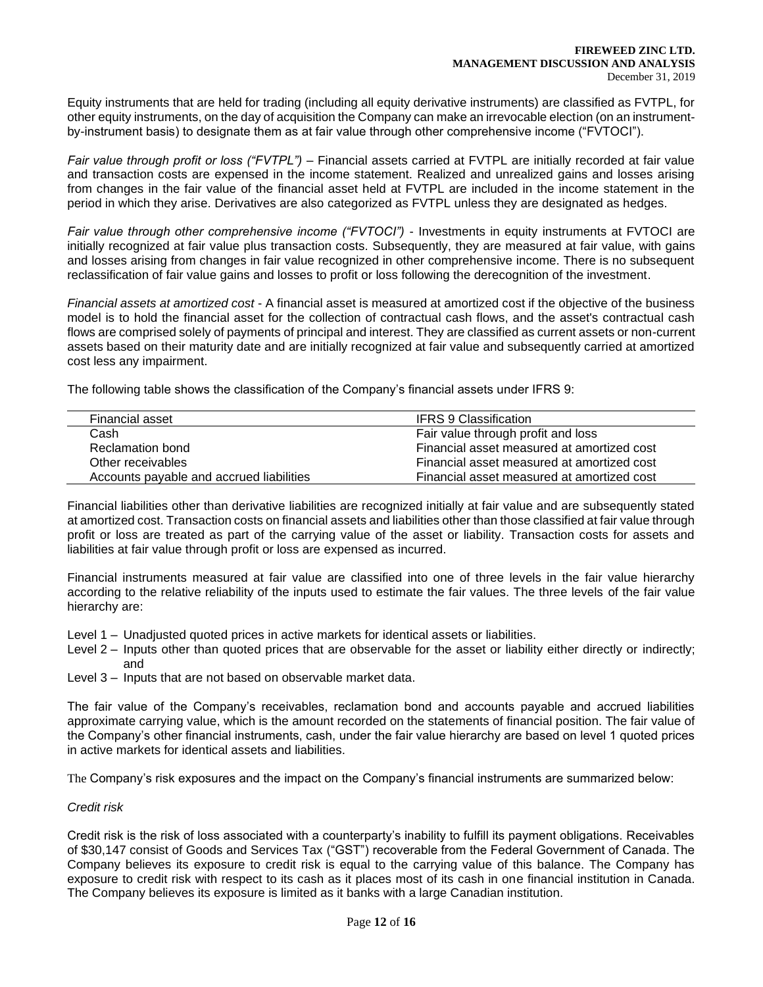Equity instruments that are held for trading (including all equity derivative instruments) are classified as FVTPL, for other equity instruments, on the day of acquisition the Company can make an irrevocable election (on an instrumentby-instrument basis) to designate them as at fair value through other comprehensive income ("FVTOCI").

*Fair value through profit or loss ("FVTPL")* – Financial assets carried at FVTPL are initially recorded at fair value and transaction costs are expensed in the income statement. Realized and unrealized gains and losses arising from changes in the fair value of the financial asset held at FVTPL are included in the income statement in the period in which they arise. Derivatives are also categorized as FVTPL unless they are designated as hedges.

*Fair value through other comprehensive income ("FVTOCI")* - Investments in equity instruments at FVTOCI are initially recognized at fair value plus transaction costs. Subsequently, they are measured at fair value, with gains and losses arising from changes in fair value recognized in other comprehensive income. There is no subsequent reclassification of fair value gains and losses to profit or loss following the derecognition of the investment.

*Financial assets at amortized cost* - A financial asset is measured at amortized cost if the objective of the business model is to hold the financial asset for the collection of contractual cash flows, and the asset's contractual cash flows are comprised solely of payments of principal and interest. They are classified as current assets or non-current assets based on their maturity date and are initially recognized at fair value and subsequently carried at amortized cost less any impairment.

The following table shows the classification of the Company's financial assets under IFRS 9:

| Financial asset                          | <b>IFRS 9 Classification</b>               |
|------------------------------------------|--------------------------------------------|
| Cash                                     | Fair value through profit and loss         |
| Reclamation bond                         | Financial asset measured at amortized cost |
| Other receivables                        | Financial asset measured at amortized cost |
| Accounts payable and accrued liabilities | Financial asset measured at amortized cost |

Financial liabilities other than derivative liabilities are recognized initially at fair value and are subsequently stated at amortized cost. Transaction costs on financial assets and liabilities other than those classified at fair value through profit or loss are treated as part of the carrying value of the asset or liability. Transaction costs for assets and liabilities at fair value through profit or loss are expensed as incurred.

Financial instruments measured at fair value are classified into one of three levels in the fair value hierarchy according to the relative reliability of the inputs used to estimate the fair values. The three levels of the fair value hierarchy are:

- Level 1 Unadjusted quoted prices in active markets for identical assets or liabilities.
- Level 2 Inputs other than quoted prices that are observable for the asset or liability either directly or indirectly; and
- Level 3 Inputs that are not based on observable market data.

The fair value of the Company's receivables, reclamation bond and accounts payable and accrued liabilities approximate carrying value, which is the amount recorded on the statements of financial position. The fair value of the Company's other financial instruments, cash, under the fair value hierarchy are based on level 1 quoted prices in active markets for identical assets and liabilities.

The Company's risk exposures and the impact on the Company's financial instruments are summarized below:

# *Credit risk*

Credit risk is the risk of loss associated with a counterparty's inability to fulfill its payment obligations. Receivables of \$30,147 consist of Goods and Services Tax ("GST") recoverable from the Federal Government of Canada. The Company believes its exposure to credit risk is equal to the carrying value of this balance. The Company has exposure to credit risk with respect to its cash as it places most of its cash in one financial institution in Canada. The Company believes its exposure is limited as it banks with a large Canadian institution.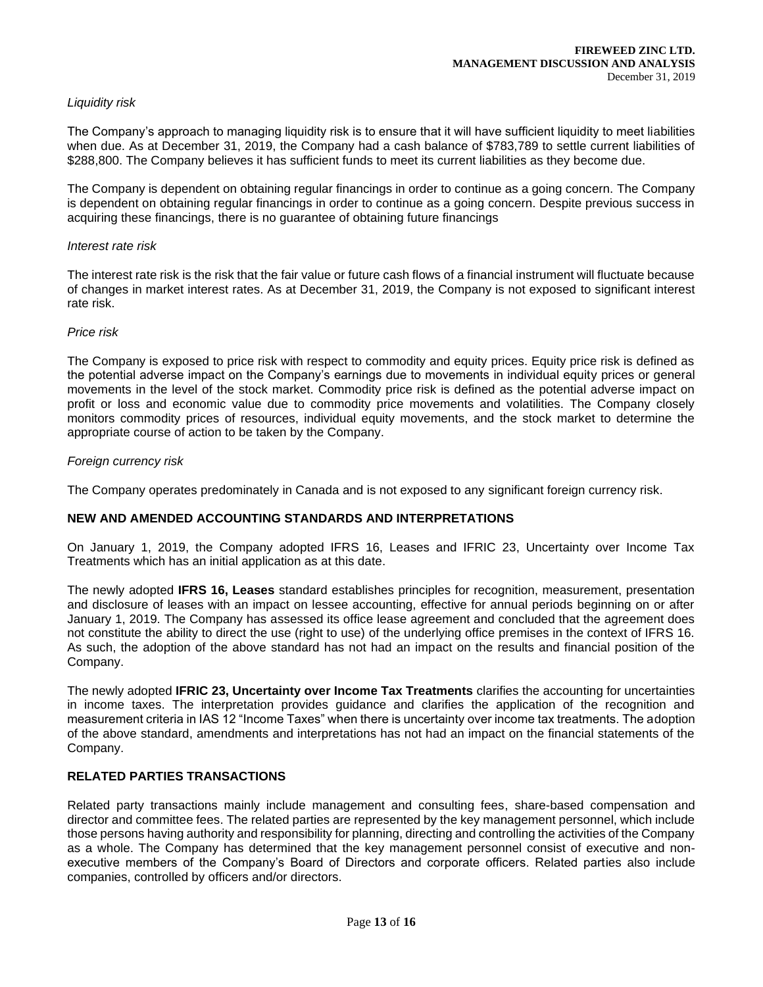# *Liquidity risk*

The Company's approach to managing liquidity risk is to ensure that it will have sufficient liquidity to meet liabilities when due. As at December 31, 2019, the Company had a cash balance of \$783,789 to settle current liabilities of \$288,800. The Company believes it has sufficient funds to meet its current liabilities as they become due.

The Company is dependent on obtaining regular financings in order to continue as a going concern. The Company is dependent on obtaining regular financings in order to continue as a going concern. Despite previous success in acquiring these financings, there is no guarantee of obtaining future financings

### *Interest rate risk*

The interest rate risk is the risk that the fair value or future cash flows of a financial instrument will fluctuate because of changes in market interest rates. As at December 31, 2019, the Company is not exposed to significant interest rate risk.

#### *Price risk*

The Company is exposed to price risk with respect to commodity and equity prices. Equity price risk is defined as the potential adverse impact on the Company's earnings due to movements in individual equity prices or general movements in the level of the stock market. Commodity price risk is defined as the potential adverse impact on profit or loss and economic value due to commodity price movements and volatilities. The Company closely monitors commodity prices of resources, individual equity movements, and the stock market to determine the appropriate course of action to be taken by the Company.

# *Foreign currency risk*

The Company operates predominately in Canada and is not exposed to any significant foreign currency risk.

# **NEW AND AMENDED ACCOUNTING STANDARDS AND INTERPRETATIONS**

On January 1, 2019, the Company adopted IFRS 16, Leases and IFRIC 23, Uncertainty over Income Tax Treatments which has an initial application as at this date.

The newly adopted **IFRS 16, Leases** standard establishes principles for recognition, measurement, presentation and disclosure of leases with an impact on lessee accounting, effective for annual periods beginning on or after January 1, 2019. The Company has assessed its office lease agreement and concluded that the agreement does not constitute the ability to direct the use (right to use) of the underlying office premises in the context of IFRS 16. As such, the adoption of the above standard has not had an impact on the results and financial position of the Company.

The newly adopted **IFRIC 23, Uncertainty over Income Tax Treatments** clarifies the accounting for uncertainties in income taxes. The interpretation provides guidance and clarifies the application of the recognition and measurement criteria in IAS 12 "Income Taxes" when there is uncertainty over income tax treatments. The adoption of the above standard, amendments and interpretations has not had an impact on the financial statements of the Company.

# **RELATED PARTIES TRANSACTIONS**

Related party transactions mainly include management and consulting fees, share-based compensation and director and committee fees. The related parties are represented by the key management personnel, which include those persons having authority and responsibility for planning, directing and controlling the activities of the Company as a whole. The Company has determined that the key management personnel consist of executive and nonexecutive members of the Company's Board of Directors and corporate officers. Related parties also include companies, controlled by officers and/or directors.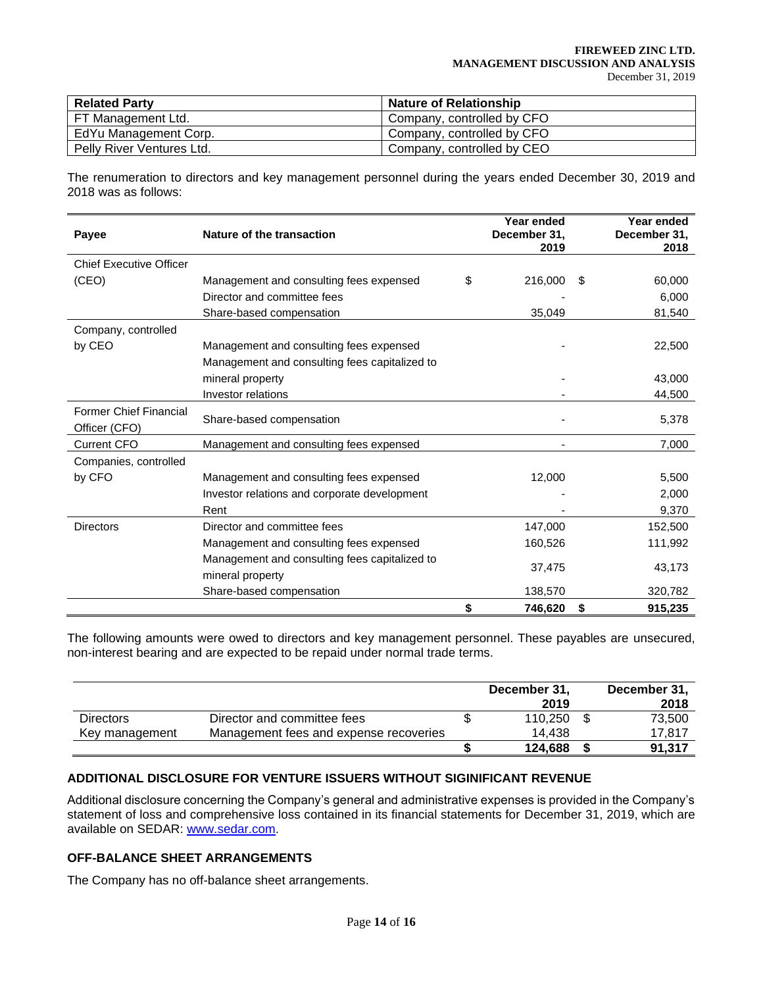| <b>Related Party</b>      | <b>Nature of Relationship</b> |
|---------------------------|-------------------------------|
| FT Management Ltd.        | Company, controlled by CFO    |
| EdYu Management Corp.     | Company, controlled by CFO    |
| Pelly River Ventures Ltd. | Company, controlled by CEO    |

The renumeration to directors and key management personnel during the years ended December 30, 2019 and 2018 was as follows:

| Payee                          | Nature of the transaction                     | Year ended<br>December 31,<br>2019 |    | Year ended<br>December 31,<br>2018 |
|--------------------------------|-----------------------------------------------|------------------------------------|----|------------------------------------|
| <b>Chief Executive Officer</b> |                                               |                                    |    |                                    |
| (CEO)                          | Management and consulting fees expensed       | \$<br>216,000                      | S  | 60,000                             |
|                                | Director and committee fees                   |                                    |    | 6,000                              |
|                                | Share-based compensation                      | 35,049                             |    | 81,540                             |
| Company, controlled            |                                               |                                    |    |                                    |
| by CEO                         | Management and consulting fees expensed       |                                    |    | 22,500                             |
|                                | Management and consulting fees capitalized to |                                    |    |                                    |
|                                | mineral property                              |                                    |    | 43,000                             |
|                                | Investor relations                            |                                    |    | 44,500                             |
| Former Chief Financial         |                                               |                                    |    |                                    |
| Officer (CFO)                  | Share-based compensation                      |                                    |    | 5,378                              |
| <b>Current CFO</b>             | Management and consulting fees expensed       |                                    |    | 7,000                              |
| Companies, controlled          |                                               |                                    |    |                                    |
| by CFO                         | Management and consulting fees expensed       | 12,000                             |    | 5,500                              |
|                                | Investor relations and corporate development  |                                    |    | 2,000                              |
|                                | Rent                                          |                                    |    | 9,370                              |
| <b>Directors</b>               | Director and committee fees                   | 147,000                            |    | 152,500                            |
|                                | Management and consulting fees expensed       | 160,526                            |    | 111,992                            |
|                                | Management and consulting fees capitalized to |                                    |    |                                    |
|                                | mineral property                              | 37,475                             |    | 43,173                             |
|                                | Share-based compensation                      | 138,570                            |    | 320,782                            |
|                                |                                               | \$<br>746,620                      | \$ | 915,235                            |

The following amounts were owed to directors and key management personnel. These payables are unsecured, non-interest bearing and are expected to be repaid under normal trade terms.

|                  |                                        | December 31,<br>2019 | December 31,<br>2018 |
|------------------|----------------------------------------|----------------------|----------------------|
| <b>Directors</b> | Director and committee fees            | 110,250              | 73,500               |
| Key management   | Management fees and expense recoveries | 14.438               | 17,817               |
|                  |                                        | 124.688              | 91,317               |

# **ADDITIONAL DISCLOSURE FOR VENTURE ISSUERS WITHOUT SIGINIFICANT REVENUE**

Additional disclosure concerning the Company's general and administrative expenses is provided in the Company's statement of loss and comprehensive loss contained in its financial statements for December 31, 2019, which are available on SEDAR: [www.sedar.com.](about:blank)

# **OFF-BALANCE SHEET ARRANGEMENTS**

The Company has no off-balance sheet arrangements.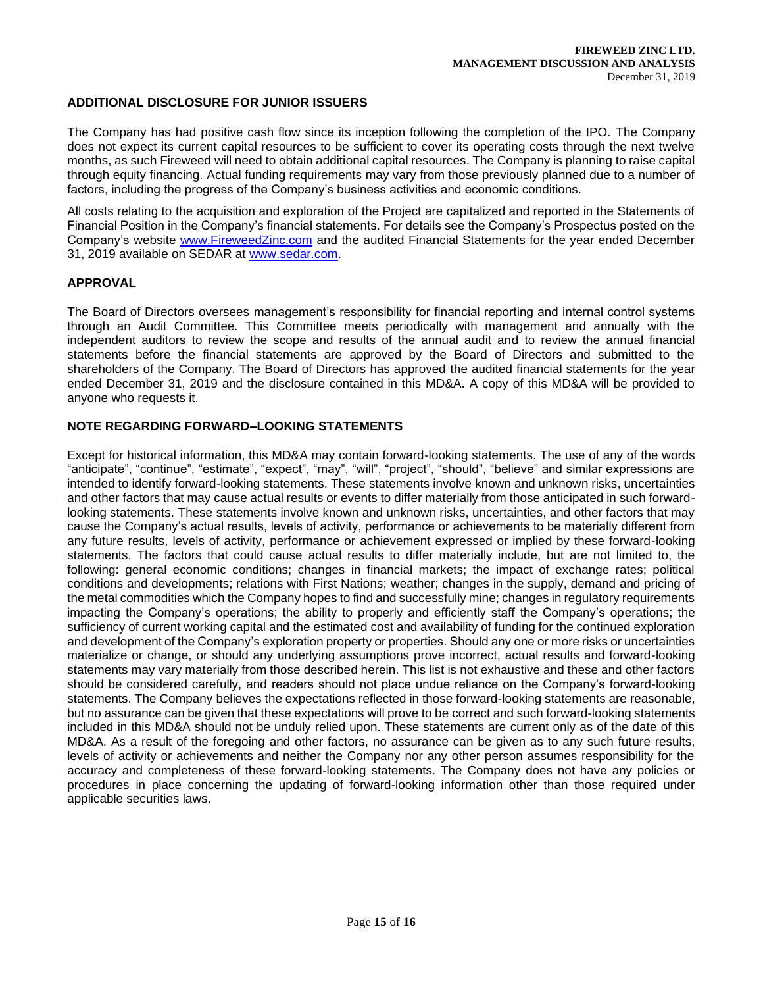# **ADDITIONAL DISCLOSURE FOR JUNIOR ISSUERS**

The Company has had positive cash flow since its inception following the completion of the IPO. The Company does not expect its current capital resources to be sufficient to cover its operating costs through the next twelve months, as such Fireweed will need to obtain additional capital resources. The Company is planning to raise capital through equity financing. Actual funding requirements may vary from those previously planned due to a number of factors, including the progress of the Company's business activities and economic conditions.

All costs relating to the acquisition and exploration of the Project are capitalized and reported in the Statements of Financial Position in the Company's financial statements. For details see the Company's Prospectus posted on the Company's website [www.FireweedZinc.com](about:blank) and the audited Financial Statements for the year ended December 31, 2019 available on SEDAR at [www.sedar.com.](about:blank)

# **APPROVAL**

The Board of Directors oversees management's responsibility for financial reporting and internal control systems through an Audit Committee. This Committee meets periodically with management and annually with the independent auditors to review the scope and results of the annual audit and to review the annual financial statements before the financial statements are approved by the Board of Directors and submitted to the shareholders of the Company. The Board of Directors has approved the audited financial statements for the year ended December 31, 2019 and the disclosure contained in this MD&A. A copy of this MD&A will be provided to anyone who requests it.

# **NOTE REGARDING FORWARD–LOOKING STATEMENTS**

Except for historical information, this MD&A may contain forward-looking statements. The use of any of the words "anticipate", "continue", "estimate", "expect", "may", "will", "project", "should", "believe" and similar expressions are intended to identify forward-looking statements. These statements involve known and unknown risks, uncertainties and other factors that may cause actual results or events to differ materially from those anticipated in such forwardlooking statements. These statements involve known and unknown risks, uncertainties, and other factors that may cause the Company's actual results, levels of activity, performance or achievements to be materially different from any future results, levels of activity, performance or achievement expressed or implied by these forward-looking statements. The factors that could cause actual results to differ materially include, but are not limited to, the following: general economic conditions; changes in financial markets; the impact of exchange rates; political conditions and developments; relations with First Nations; weather; changes in the supply, demand and pricing of the metal commodities which the Company hopes to find and successfully mine; changes in regulatory requirements impacting the Company's operations; the ability to properly and efficiently staff the Company's operations; the sufficiency of current working capital and the estimated cost and availability of funding for the continued exploration and development of the Company's exploration property or properties. Should any one or more risks or uncertainties materialize or change, or should any underlying assumptions prove incorrect, actual results and forward-looking statements may vary materially from those described herein. This list is not exhaustive and these and other factors should be considered carefully, and readers should not place undue reliance on the Company's forward-looking statements. The Company believes the expectations reflected in those forward-looking statements are reasonable, but no assurance can be given that these expectations will prove to be correct and such forward-looking statements included in this MD&A should not be unduly relied upon. These statements are current only as of the date of this MD&A. As a result of the foregoing and other factors, no assurance can be given as to any such future results, levels of activity or achievements and neither the Company nor any other person assumes responsibility for the accuracy and completeness of these forward-looking statements. The Company does not have any policies or procedures in place concerning the updating of forward-looking information other than those required under applicable securities laws.